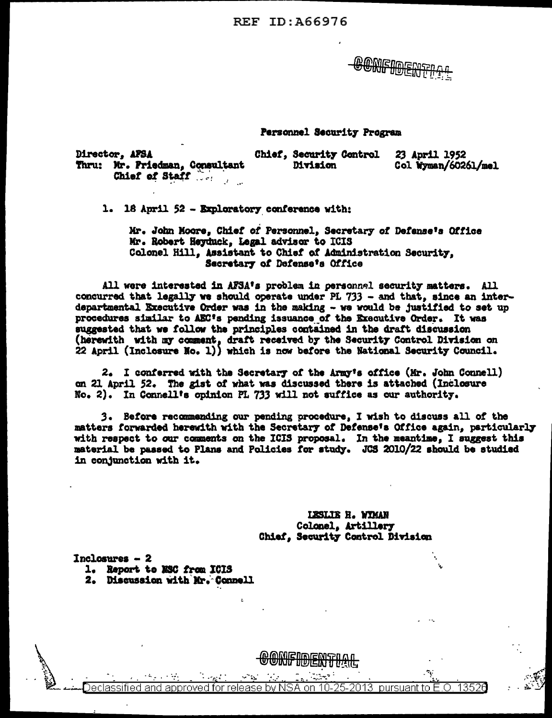CONFIDEN<sup>.</sup>

### Personnel Security Program

| <b>Director, AFSA</b>          | <b>Chief, Security Control</b> |                     |
|--------------------------------|--------------------------------|---------------------|
| Thru: Mr. Priedman, Consultant | Division                       | Col Wyman/60261/mel |
| Chief of Staff                 |                                |                     |

1. 18 April 52 - Exploratory conference with:

Mr. John Moore, Chief of Personnel, Secretary of Defense's Office Mr. Robert Heyduck, Legal advisor to ICIS Colonel Hill, Assistant to Chief of Administration Security. Secretary of Defense's Office

All were interested in AFSA's problem in personnel security matters. All concurred that legally we should operate under PL 733 - and that, since an interdepartmental Executive Order was in the making - we would be justified to set up procedures similar to AEC's pending issuance of the Executive Order. It was suggested that we follow the principles contained in the draft discussion (herewith with my comment, draft received by the Security Control Division on 22 April (Inclesure No. 1)) which is now before the National Security Council.

2. I conferred with the Secretary of the Army's office (Mr. John Connell) on 21 April 52. The gist of what was discussed there is attached (Inclosure No. 2). In Connell's coinion PL 733 will not suffice as our authority.

3. Before recommending our pending procedure, I wish to discuss all of the matters forwarded herewith with the Secretary of Defense's Office again, particularly with respect to our comments on the ICIS proposal. In the meantime, I suggest this material be passed to Plans and Policies for study. JCS 2010/22 should be studied in conjunction with it.

> **LESLIE H. WYMAN** Colonel, Artillery Chief, Security Control Division

Inclosures  $-2$ 

- 1. Report to MSC from ICIS
- 2. Discussion with Mr. Connell

13526 leclassifiec annroved for release hv N to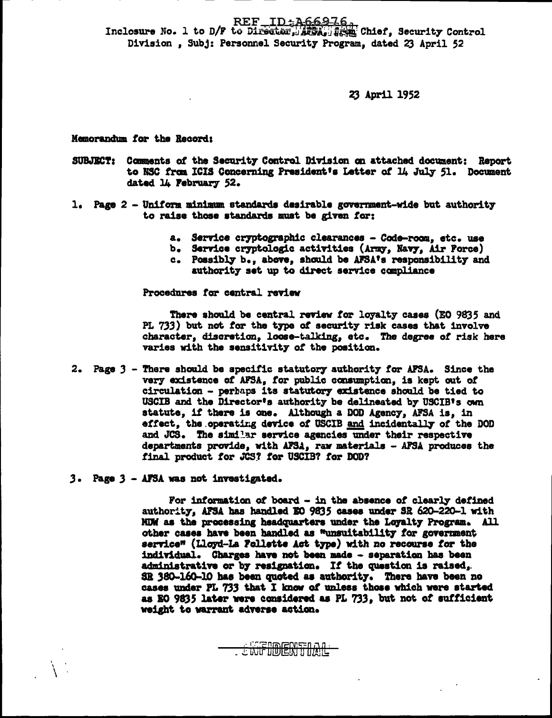REF ID: 466976

Inclosure No. 1 to D/F to Director, ARCA, fixed Chief, Security Control Division, Subj: Personnel Security Program, dated 23 April 52

23 April 1952

Memorandum for the Record:

- SUBJECT: Comments of the Security Control Division on attached document: Report to NSC from ICIS Concerning President's Letter of 14 July 51. Document dated 14 February 52.
- 1. Page 2 Uniform minimum standards desirable government-wide but authority to raise those standards must be given for:
	- a. Service cryptographic clearances Code-room, etc. use
	- b. Service cryptologic activities (Army, Navy, Air Force)
	- c. Possibly b., above, should be AFSA's responsibility and
		- authority set up to direct service compliance

Procedures for central review

There should be central review for loyalty cases (EO 9835 and PL 733) but not for the type of security risk cases that involve character, discretion, loose-talking, etc. The degree of risk here varies with the sensitivity of the position.

- 2. Page 3 There should be specific statutory authority for AFSA. Since the very existence of AFSA, for public consumption, is kept out of circulation - perhaps its statutory existence should be tied to USCIB and the Director's authority be delineated by USCIB's own statute, if there is one. Although a DOD Agency, AFSA is, in effect, the operating device of USCIB and incidentally of the DOD and JCS. The similar service agencies under their respective departments provide, with AFSA, raw materials - AFSA produces the final product for JCS? for USCIB? for DOD?
- 3. Page 3 AFSA was not investigated.

For information of board - in the absence of clearly defined authority, AFSA has handled EO 9835 cases under SR 620-220-1 with MDW as the processing headquarters under the Loyalty Program. All other cases have been handled as "unsuitability for government service" (Lloyd-La Follette Act type) with no recourse for the individual. Charges have not been made - separation has been administrative or by resignation. If the question is raised, SR 380-160-10 has been quoted as authority. There have been no cases under PL 733 that I know of unless those which were started as EO 9835 later were considered as PL 733, but not of sufficient weight to warrant adverse action.

**BENTIAL**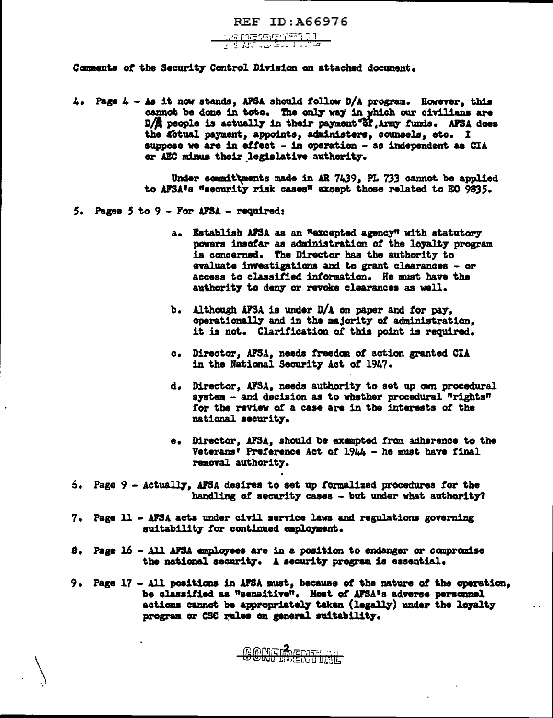REF ID: A66976

<u>verement i .</u><br>Førsteller

Comments of the Security Control Division on attached document.

4. Page  $4$  - As it now stands, AFSA should follow D/A program. However, this cannot be done in toto. The only way in which our civilians are D/A people is actually in their payment of Army funds. AFSA does the Actual payment, appoints, administers, counsels, etc. I suppose we are in effect - in operation - as independent as CIA or AEC minus their legislative authority.

> Under committments made in AR 7439, PL 733 cannot be applied to AFSA's "security risk cases" except those related to EO 9835.

- 5. Pages 5 to 9 For AFSA required:
	- a. Establish AFSA as an "excepted agency" with statutory powers insofar as administration of the loyalty program is concerned. The Director has the authority to evaluate investigations and to grant clearances - or access to classified information. He must have the authority to deny or revoke clearances as well.
	- b. Although AFSA is under D/A on paper and for pay, operationally and in the majority of administration, it is not. Clarification of this point is required.
	- c. Director, AFSA, needs freedom of action granted CIA in the National Security Act of 1947.
	- d. Director, AFSA, needs authority to set up own procedural system - and decision as to whether procedural "rights" for the review of a case are in the interests of the national security.
	- e. Director, AFSA, should be exempted from adherence to the Veterans' Preference Act of 1944 - he must have final removal authority.

22

- $6.$  Page  $9$  Actually, AFSA desires to set up formalized procedures for the handling of security cases - but under what authority?
- 7. Page 11 AFSA acts under civil service laws and regulations governing suitability for continued employment.
- 8. Page 16 All AFSA employees are in a position to endanger or compromise the national security. A security program is essential.
- 9. Page 17 All positions in AFSA must, because of the nature of the operation, be classified as "sensitive". Host of AFSA's adverse personnel actions cannot be appropriately taken (legally) under the loyalty program or CSC rules on general suitability.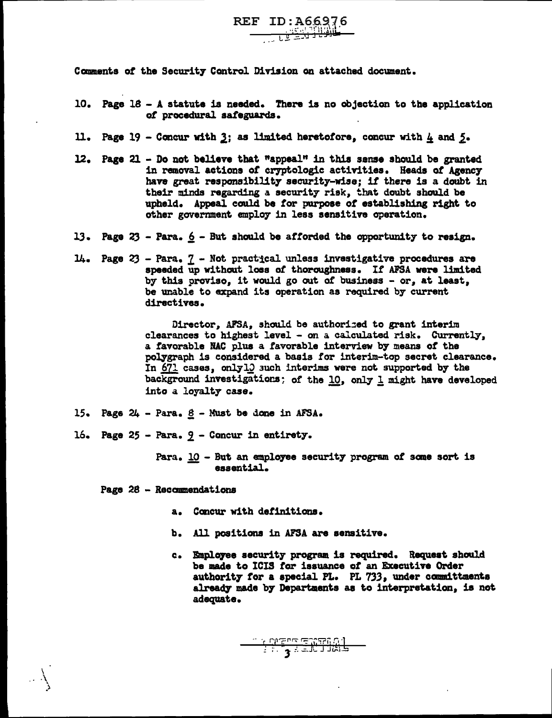Comments of the Security Control Division on attached document.

10. Page  $18 - A$  statute is needed. There is no objection to the application *ot* procedural safeguards.

REF ID: A66976 \_\_ , L i·;~·~;j j <sup>1</sup>

 $\frac{1}{2}$  : بازگر

- ll. Page  $19$  Concur with  $3$ ; as limited heretofore, concur with  $4$  and  $5$ .
- 12. Page 21 Do not believe that "appeal" in this sense should be granted in removal actions of cryptologic activities. Heads of Agency have great responsibility security-wise; if there is a doubt in their minds regarding a security risk, that doubt should be upheld. Appeal could be for purpose of establishing right to other government empl07 in less sensitive operation.
- 13. Page  $23$  Para.  $6$  But should be afforded the opportunity to resign.
- 14. Page 23 Para. 7 Not pract<sub>ical</sub> unless investigative procedures are speeded up without loss of thoroughness. If AFSA were limited by this proviso, it would go out of business - or, at least, be unable to expand its operation as required by current directives.

Director, AFSA, should be authorized to grant interim clearances to highest level - on a calculated risk. Currently, a favorable NAC plus a favorable interview by means of the polygraph is considered a basis for interim-top secret clearance. In  $671$  cases, onlyl0 such interims were not supported by the background investigations: of the  $10$ , only  $1$  might have developed into a loyalty case.

- 15. Page  $24$  Para.  $8$  Must be done in AFSA.
- 16. Page 25 Para.  $2$  Concur in entirety.
	- Para.  $\underline{10}$  But an employee security program of some sort is essential.

Page 28 - Raccmmendations

\ .\ )

- a. Concur with detinitiona.
- b. All positions in AFSA are sensitive.
- c. Employee security program is required. Request should be made to ICIS *tor* issuance ot an Executive Order authority for a special PL. PL 733, under committments already made by Departments as to interpretation, is not adequate.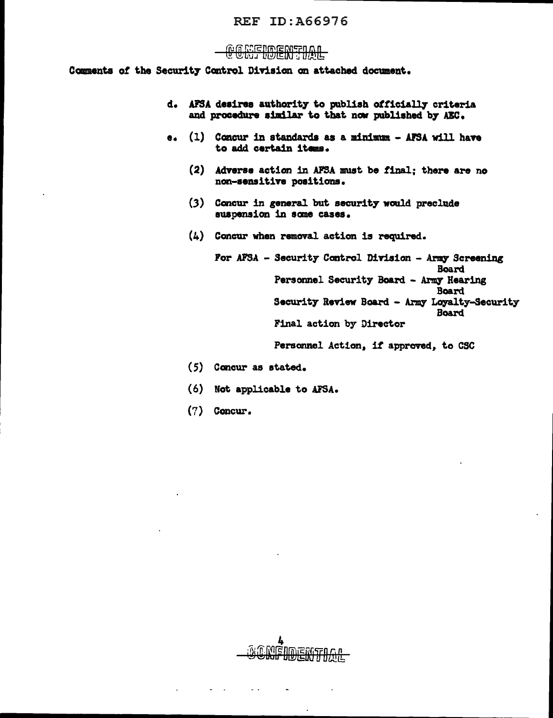## REF ID:A66976

# OREIDENEDAL

Comments of the Security Control Division on attached document.

- d. AFSA desires authority to publish officially criteria and procedure similar to that now published by AEC.
- e.  $(1)$  Concur in standards as a minimum AFSA will have to add certain items.
	- (2) Adverse action in AFSA must be final; there are no non-sensitiYe positions.
	- (3) Concur in general but security would preclude suspension in some cases.
	- (4) Concur when removal action is required.

For AFSA - Security Control Division - Army Screening Board Personnel Security Board - Army Hearing **Board** Security Review Board - Army Loyalty-Security Board Final action by Director

Personnel Action. if approved, to CSC

- (5) Concur as stated.
- (6) Not applicable to AFSA..
- (7) Concur.

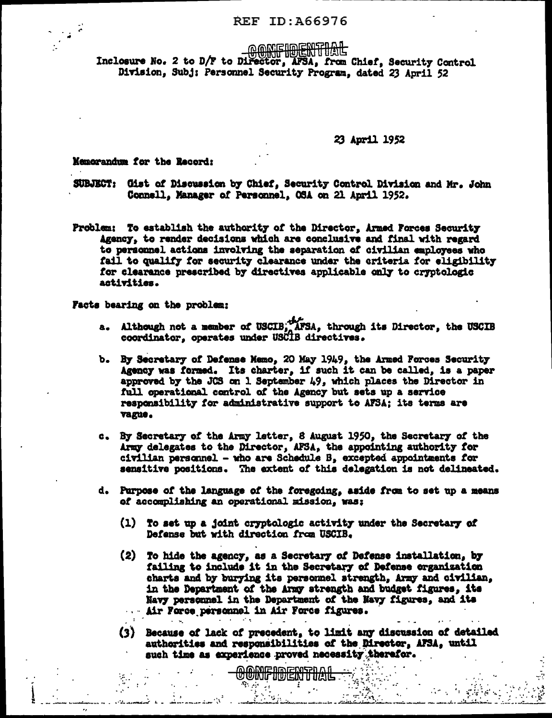## **REF ID: A66976**

**GONFIDENTIAL** 

Inclosure No. 2 to D/F to Director, AFSA, from Chief, Security Control Division, Subj: Personnel Security Program, dated 23 April 52

23 April 1952

Memorandum for the Record:

SUBJECT: Gist of Discussion by Chief, Security Control Division and Mr. John Connell, Manager of Personnel, OSA on 21 April 1952.

Problem: To establish the authority of the Director, Armed Forces Security Agency, to render decisions which are conclusive and final with regard to personnel actions involving the separation of civilian employees who fail to qualify for security clearance under the criteria for eligibility for clearance prescribed by directives applicable only to cryptologic activities.

Facts bearing on the problem:

- a. Although not a member of USCIB, AFSA, through its Director, the USCIB coordinator, operates under USCIB directives.
- b. By Secretary of Defense Memo, 20 May 1949, the Armed Forces Security Agency was formed. Its charter, if such it can be called, is a paper approved by the JCS on 1 September 49, which places the Director in full operational control of the Agency but sets up a service responsibility for administrative support to AFSA; its terms are vague.
- c. By Secretary of the Army letter, 8 August 1950, the Secretary of the Army delegates to the Director, AFSA, the appointing authority for civilian personnel - who are Schedule B, excepted appointments for sensitive positions. The extent of this delegation is not delineated.
- d. Purpose of the language of the foregoing, aside from to set up a means of accomplishing an operational mission, was:
	- (1) To set up a joint cryptologic activity under the Secretary of Defense but with direction from USCIB.
	- (2) To hide the agency, as a Secretary of Defense installation, by failing to include it in the Secretary of Defense erganization charts and by burying its personnel strength, Army and civilian, in the Department of the Army strength and budget figures, its Navy personnel in the Department of the Navy figures, and its Air Force personnel in Air Force figures.
	- (3) Because of lack of precedent, to limit any discussion of detailed authorities and responsibilities of the Director, AFSA, until such time as experience proved necessity therefor.

Ñ,

<u>oonfidential</u>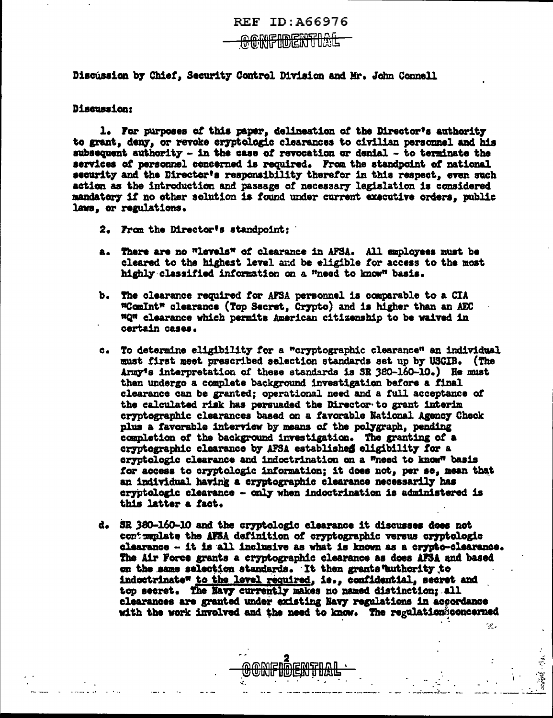Discussion by Chief, Security Control Division and Mr. John Connell

#### Discussion:

1. For purposes of this paper, delineation of the Director's authority to grant, deny, or revoke cryptologic clearances to civilian personnel and his subsequent authority - in the case of revocation or denial - to terminate the services of personnel concerned is required. From the standpoint of national security and the Director's responsibility therefor in this respect, even such action as the introduction and passage of necessary legislation is considered mandatory if no other solution is found under current executive orders, public laws, or regulations.

- 2. From the Director's standpoint:
- a. There are no "levels" of clearance in AFSA. All employees must be cleared to the highest level and be eligible for access to the most highly classified information on a "need to know" basis.
- b. The clearance required for AFSA personnel is comparable to a CIA "ComInt" clearance (Top Secret, Crypto) and is higher than an AEC "Q" clearance which permits American citizenship to be waived in certain cases.
- c. To determine eligibility for a "cryptographic clearance" an individual must first meet prescribed selection standards set up by USCIB. (The Army's interpretation of these standards is SR 380-160-10.) He must then undergo a complete background investigation before a final clearance can be granted; operational need and a full acceptance of the calculated risk has persuaded the Director to grant interim cryptographic clearances based on a favorable National Agency Check plus a favorable interview by means of the polygraph, pending completion of the background investigation. The granting of a cryptographic clearance by AFSA established eligibility for a cryptologic clearance and indoctrination on a "need to know" basis for access to cryptologic information; it does not, per se, mean that an individual having a cryptographic clearance necessarily has cryptologic clearance - only when indoctrination is administered is this latter a fact.
- d. SR 380-160-10 and the cryptologic clearance it discusses does not contemplate the AFSA definition of cryptographic versus cryptologic clearance - it is all inclusive as what is known as a crypto-clearance. The Air Force grants a cryptographic clearance as does AFSA and based on the same selection standards. It then grants authority to indoctrinate" to the level required, is., confidential, secret and top secret. The Mavy currently makes no named distinction: all clearances are granted under existing Navy regulations in accordance with the work involved and the need to know. The regulation concerned

 $\mathcal{A}$  .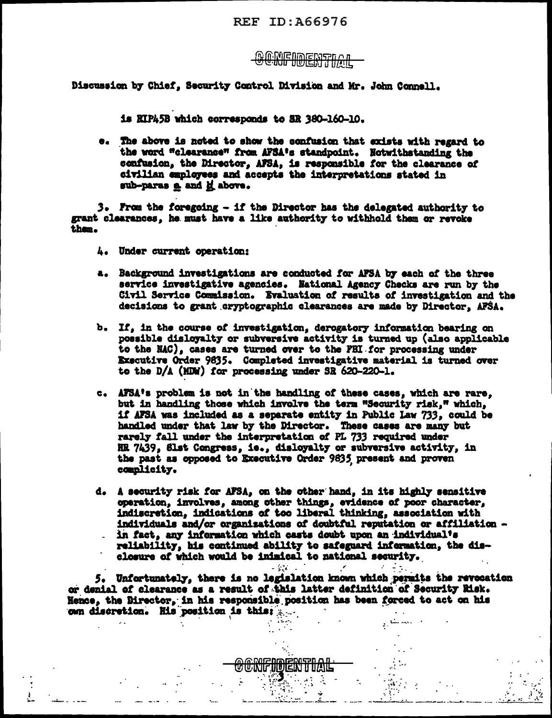<u>GONFIDENTIAL</u>

Discussion by Chief, Security Control Division and Mr. John Connell.

is RIP45B which corresponds to SR 380-160-10.

e. The above is noted to show the confusion that exists with regard to the word "clearance" from AFSA's standpoint. Notwithstanding the confusion, the Director, AFSA, is responsible for the clearance of civilian employees and accepts the interpretations stated in sub-paras a and it above.

3. From the foregoing - if the Director has the delegated authority to grant clearances, he must have a like authority to withhold them or revoke them.

- 4. Under current operation:
- a. Background investigations are conducted for AFSA by each of the three service investigative agencies. National Agency Checks are run by the Civil Service Commission. Evaluation of results of investigation and the decisions to grant cryptographic clearances are made by Director, AFSA.
- b. If, in the course of investigation, derogatory information bearing on possible disloyalty or subversive activity is turned up (also applicable to the NAC), cases are turned over to the FBI for processing under Executive Order 9835. Completed investigative material is turned over to the D/A (MDW) for processing under SR 620-220-1.
- c. AFSA's problem is not in the handling of these cases, which are rare, but in handling those which involve the term "Security risk," which, if AFSA was included as a separate entity in Public Law 733, could be handled under that law by the Director. These cases are many but rarely fall under the interpretation of PL 733 required under HR 7439, Slst Congress, ie., disloyalty or subversive activity, in the past as opposed to Executive Order 9635 present and proven complicity.
- d. A security risk for AFSA, on the other hand, in its highly sensitive operation, involves, among other things, evidence of poor character, indiscretion, indications of too liberal thinking, association with individuals and/or organisations of doubtful reputation or affiliation in fact, any information which casts doubt upon an individual's reliability, his continued ability to safeguard information, the disclosure of which would be inimical to national security.

5. Unfortunately, there is no legislation known which permits the revocation or denial of clearance as a result of this latter definition of Security Risk. Hence, the Birector, in his responsible position has been forced to act on his own discretion. His position is this:

لمستقار

 $\mu^2$ 

a dina a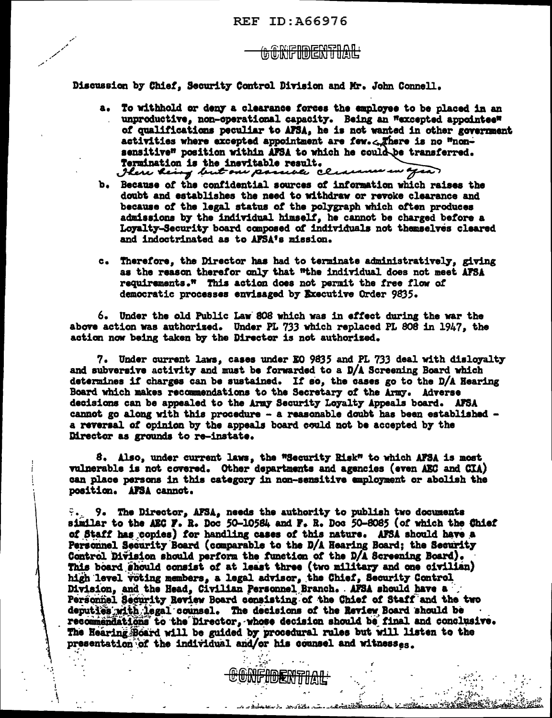# GÖRFIDENTIAL

Discussion by Chief, Security Control Division and Mr. John Connell.

- a. To withhold or deny a clearance forces the employee to be placed in an unproductive, non-operational capacity. Being an "excepted appointee" of qualifications peculiar to AFSA, he is not wanted in other government activities where excepted appointment are few. There is no "nonsensitive" position within AFSA to which he could be transferred. Formination is the inevitable result.<br>I here heing but one passede clearance in agea.
- b. Because of the confidential sources of information which raises the doubt and establishes the need to withdraw or revoke clearance and because of the legal status of the polygraph which often produces admissions by the individual himself, he cannot be charged before a Loyalty-Security board composed of individuals not themselves cleared and indoctrinated as to AFSA's mission.
- c. Therefore, the Director has had to terminate administratively, giving as the reason therefor only that "the individual does not meet AFSA requirements." This action does not permit the free flow of democratic processes envisaged by Executive Order 9835.

6. Under the old Public Law 808 which was in effect during the war the above action was authorized. Under PL 733 which replaced PL 808 in 1947, the action now being taken by the Director is not authorized.

7. Under current laws, cases under EO 9835 and PL 733 deal with disloyalty and subversive activity and must be forwarded to a D/A Screening Board which determines if charges can be sustained. If so, the cases go to the D/A Hearing Board which makes recommendations to the Secretary of the Army. Adverse decisions can be appealed to the Army Security Loyalty Appeals board. AFSA cannot go along with this procedure - a reasonable doubt has been established a reversal of opinion by the appeals board could not be accepted by the Director as grounds to re-instate.

8. Also, under current laws, the "Security Risk" to which AFSA is most vulnerable is not covered. Other departments and agencies (even AEC and CIA) can place persons in this category in non-sensitive employment or abolish the position. AFSA cannot.

9. The Director, AFSA, needs the authority to publish two documents similar to the AEC F. R. Doc 50-10584 and F. R. Doc 50-8085 (of which the Chief of Staff has copies) for handling cases of this nature. AFSA should have a Personnel Security Board (comparable to the D/A Hearing Board; the Security Control Division should perform the function of the D/A Screening Board). This board should consist of at least three (two military and one civilian) high level voting members, a legal advisor, the Chief, Security Control Division, and the Head, Civilian Personnel Branch. AFSA should have a Personnel Security Review Board consisting of the Chief of Staff and the two deputies with legal counsel. The decisions of the Review Board should be recommendations to the Director, whose decision should be final and conclusive. The Hearing Board will be guided by procedural rules but will listen to the presentation of the individual and/or his counsel and witnesses.